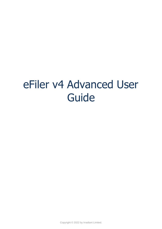# eFiler v4 Advanced User Guide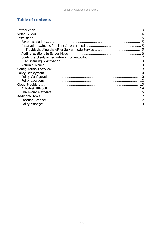# **Table of contents**

| Introduction        |    |
|---------------------|----|
|                     |    |
| <b>Installation</b> |    |
|                     |    |
|                     |    |
|                     |    |
|                     |    |
|                     |    |
|                     |    |
|                     |    |
|                     |    |
|                     | 10 |
|                     | 10 |
|                     |    |
|                     |    |
|                     |    |
|                     |    |
|                     |    |
|                     |    |
|                     |    |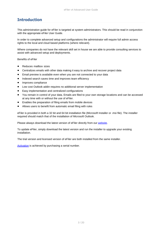# <span id="page-2-0"></span>**Introduction**

This administration guide for eFiler is targeted at system administrators. This should be read in conjunction with the appropriate eFiler User Guide.

In order to complete advanced setup and configurations the administrator will require full admin access rights to the local and cloud based platforms (where relevant).

Where companies do not have the relevant skill set in house we are able to provide consulting services to assist with advanced setup and deployments.

Benefits of eFiler

- Reduces mailbox sizes
- Centralizes emails with other data making it easy to archive and recover project data
- Email preview is available even when you are not connected to your data
- Indexed search saves time and improves team efficiency
- · Improves compliance
- Low cost Outlook addin requires no additional server implementation
- Easy implementation and centralized configurations
- · You remain in control of your data. Emails are filed to your own storage locations and can be accessed at any time with or without the use of eFiler.
- Enables the preparation of filing emails from mobile devices
- Allows users to benefit from automatic email filing with rules

eFiler is provided in both a 32 bit and 64 bit installation file (Microsoft Installer or .msi file). The installer required should match that of the installation of Microsoft Outlook.

Please always download the latest version of eFiler directly from our [website](https://efiler.co.uk).

To update eFiler, simply download the latest version and run the installer to upgrade your existing installation.

The trial version and licensed version of eFiler are both installed from the same installer.

Activation is achieved by purchasing a serial number.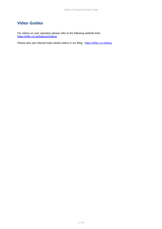# <span id="page-3-0"></span>**Video Guides**

For videos on user operation please refer to the following website links <https://efiler.co.uk/features/videos>

Please also see relevant topic based videos in our Blog -<https://efiler.co.uk/blog>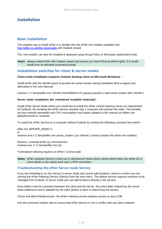# <span id="page-4-0"></span>**Installation**

## <span id="page-4-1"></span>**Basic installation**

The simplest way to install eFiler is to double click the eFiler.msi installer available from [http://efiler.co.uk/efiler-downloads](https://efiler.co.uk/efiler-downloads) with Outlook closed.

The .msi installer can also be installed & deployed using Group Policy or third party deployment tools.

**Notes** Always install eFiler with Outlook closed and ensure you have full local admin rights. If in doubt install from an elevated command prompt.

### <span id="page-4-2"></span>**Installation switches for client & server modes**

#### **Client mode installation (requires Outlook desktop client on Microsoft Windows) -**

Install eFiler with the SNUM switch to provide the serial number during installation (find a registry key alternative in the User Manual)

msiexec /i "c:\temp\efiler.msi" SNUM=SSAAMMGGYYII (please provide a valid serial number after SNUM=)

#### **Server mode installation (for centralised Autopilot indexing\*) -**

Install eFiler Server Mode where you would like to install the eFiler central indexing server (no requirement for Outlook). By installing the eFiler service centrally only 1 computer will maintain the index. The benefits are less network bandwidth and CPU consumption and instant updates to the indexes as folders are added/removed or renamed.

To install the eFiler Service on a computer without Outlook by running the following command line switch

efiler.msi SERVER\_MODE=1 or msiexec.exe /i C:\temp\efiler.msi server\_mode=1 /qn (Where C:\temp contains the eFiler.msi installer)

Remove / uninstall eFiler by command line msiexec.exe /x C:\temp\efiler.msi /qn

\*Centralised indexing requires an eFiler+ Licence plan.

**Notes** eFiler Autopilot Service is best run in client/server mode where clients where there are either 20 or more clients or the clients work over a VPN connection.

#### <span id="page-4-3"></span>**Troubleshooting the eFiler Server mode Service**

If you are intending to run the service in server mode and cannot add locations, check to confirm you are running the eFiler Indexing Service (Server) from the start menu. The default service requires locations to be managed from Outlook. In server mode you can add locations directly in the service.

Drive letters must be consistent between the client and the server. Any drive letter indexed by the server takes preference and is adopted by the client (where a client is referencing the server).

Check and allow firewall access. the eFiler indexing service requires access on port 2138

Use the command netstat -abn to ensure that eFiler.Service is not in conflict with any other software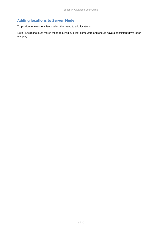# <span id="page-5-0"></span>**Adding locations to Server Mode**

To provide indexes for clients select the menu to add locations.

Note - Locations must match those required by client computers and should have a consistent drive letter mapping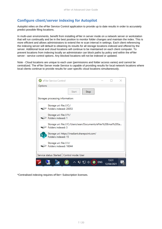# <span id="page-6-0"></span>**Configure client/server indexing for Autopilot**

Autopilot relies on the eFiler Service Control application to provide up to date results in order to accurately predict possible filing locations.

In multi-user environments, benefit from installing eFiler in server mode on a network server or workstation that will run continually and be in the best position to monitor folder changes and maintain the index. This is more efficient and allows administrators to extend the re scan interval in settings. Each client referencing the indexing server will default to obtaining its results for all storage locations indexed and offered by the server. Additional local and cloud locations will continue to be maintained on each client computer. To prevent locations from indexing locally an administrator can block paths by policy and within the eFiler server - service control options. Any blocked locations will not be indexed or updated.

Note - Cloud locations are unique to each user (permissions and folder access varies) and cannot be centralized. The eFiler Server mode Service is capable of providing results for local network locations where local clients continue to provide results for user specific cloud locations simultaneously.

| <b>B</b> eFiler Service Control                                                        |            |                     |  |
|----------------------------------------------------------------------------------------|------------|---------------------|--|
| Options                                                                                |            |                     |  |
| <b>Start</b><br>Stop                                                                   |            |                     |  |
| Storages processing information:                                                       |            |                     |  |
| Storage uri: file:///C:/<br>Folders indexed: 20053                                     |            |                     |  |
| Storage uri: file:///Y:/<br>Folders indexed: 1                                         |            |                     |  |
| Storage uri: file:///C:/Users/sean/Documents/eFiler%20Email%20Sa<br>Folders indexed: 3 |            |                     |  |
| Storage uri: https://irradiant.sharepoint.com/<br>Folders indexed: 15                  |            |                     |  |
| Storage uri: file:///J:/<br>Folders indexed: 16044                                     |            |                     |  |
| Service status: Started   Control mode: User                                           |            |                     |  |
| ヘロロの(                                                                                  | <b>ENG</b> | 13:31<br>12/04/2021 |  |

\*Centralised indexing requires eFiler+ Subscription licenses.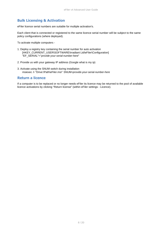## <span id="page-7-0"></span>**Bulk Licensing & Activation**

eFiler licence serial numbers are suitable for multiple activation's.

Each client that is connected or registered to the same licence serial number will be subject to the same policy configurations (where deployed).

To activate multiple computers -

- 1. Deploy a registry key containing the serial number for auto activation [HKEY\_CURRENT\_USER\SOFTWARE\Irradiant Ltd\eFiler\Configuration] "EF\_SERIAL"="*provide-your-serial-number-here*"
- 2. Provide us with your gateway IP address (Google what is my ip)
- 3. Activate using the SNUM switch during installation msiexec /i "Drive:\Path\eFiler.msi" SNUM=*provide-your-serial-number-here*

#### <span id="page-7-1"></span>**Return a licence**

If a computer is to be replaced or no longer needs eFiler its licence may be returned to the pool of available licence activations by clicking "Return license" (within eFiler settings - Licence).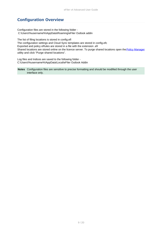# <span id="page-8-0"></span>**Configuration Overview**

Configuration files are stored in the following folder - C:\Users\%username%\AppData\Roaming\eFiler Outlook addin

The list of filing locations is stored in config.efl The configuration settings and Cloud Sync templates are stored in config.efc Exported and policy eRules are stored in a file with the extension .efr Shared locations are stored online on the licence server. To purge shared locations open the [Policy Manager](#page-18-0) utility and click "Purge shared locations".

Log files and Indices are saved to the following folder - C:\Users\%username%\AppData\Local\eFiler Outlook Addin

**Notes** Configuration files are sensitive to precise formatting and should be modified through the user interface only.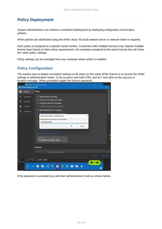# <span id="page-9-0"></span>**Policy Deployment**

System administrators can achieve a consistent deployment by deploying configuration and location policies.

eFiler policies are distributed using the eFiler cloud. No local network server or network share is required.

Each policy is assigned to a specific serial number. Customers with multiple licenses may request multiple license keys based on their policy requirements. All computers assigned to the same license key will share the same policy settings.

Policy settings can be managed from any computer where eFiler is installed.

## <span id="page-9-1"></span>**Policy Configuration**

The easiest way to deploy consistent settings to all users on the same eFiler licence is to access the eFiler settings in administration mode. To do so press and hold CTRL and ALT and click on the cog icon in location manager. When prompted supply the licence password.



If the password is accepted you will enter administration mode as shown below -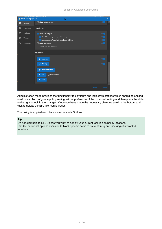eFiler v4 Advanced User Guide



Administration mode provides the functionality to configure and lock down settings which should be applied to all users. To configure a policy setting set the preference of the individual setting and then press the slider to the right to lock in the changes. Once you have made the necessary changes scroll to the bottom and click to upload the EFC file (configuration)

The policy is applied each time a user restarts Outlook.

#### **Tip**

Do not click upload EFL unless you want to deploy your current location as policy locations. Use the additional options available to block specific paths to prevent filing and indexing of unwanted locations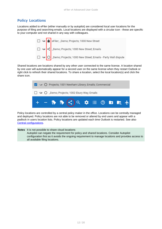# <span id="page-11-0"></span>**Policy Locations**

Locations added to eFiler (either manually or by autopilot) are considered local user locations for the purpose of filing and searching emails. Local locations are displayed with a circular icon - these are specific to your computer and not shared in any way with colleagues.



Shared locations are locations shared by any other user connected to the same license. A location shared by one user will automatically appear for a second user on the same license when they restart Outlook or right click to refresh their shared locations. To share a location, select the local location(s) and click the share icon.



Policy locations are controlled by a central policy maker in the office. Locations can be centrally managed and deployed. Policy locations are not able to be removed or altered by end users and appear with a padlock in users location lists. Policy locations are updated each time Outlook is restarted. See also Central configurations.

**Notes** It is not possible to share cloud locations Autopilot can negate the requirement for policy and shared locations. Consider Autopilot configuration first as it avoids the ongoing requirement to manage locations and provides access to all available filing locations.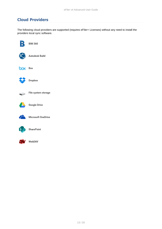# <span id="page-12-0"></span>**Cloud Providers**

The following cloud providers are supported (requires eFiler+ Licenses) without any need to install the providers local sync software.





WebDAV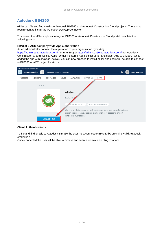## <span id="page-13-0"></span>**Autodesk BIM360**

eFiler can file and find emails to Autodesk BIM360 and Autodesk Construction Cloud projects. There is no requirement to install the Autodesk Desktop Connector.

To connect the eFiler application to your BIM360 or Autodesk Construction Cloud portal complete the following steps -

#### **BIM360 & ACC company wide App authorization -**

As an administrator connect the application to your organization by visiting

<https://admin.b360.autodesk.com/> (for BIM 360) or<https://admin.b360.eu.autodesk.com/> (for Autodesk Construction Cloud). Select 'Apps'. Under 'Featured Apps' select eFiler and select 'Add to BIM360'. Once added the app with show as 'Active'. You can now proceed to install eFiler and users will be able to connect to BIM360 or ACC project locations.



#### **Client Authentication -**

To file and find emails to Autodesk BIM360 the user must connect to BIM360 by providing valid Autodesk credentials.

Once connected the user will be able to browse and search for available filing locations.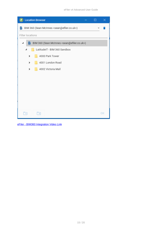| <b>Location Browser</b><br>П                                           | $\times$ |
|------------------------------------------------------------------------|----------|
| BIM 360 (Sean McInnes <sean@efiler.co.uk>)<br/>в</sean@efiler.co.uk>   |          |
| Filter locations                                                       |          |
| B BIM 360 (Sean McInnes <sean@efiler.co.uk>)<br/>ц</sean@efiler.co.uk> |          |
| LatitudeIT - BIM 360 Sandbox<br>۳                                      |          |
| 4000 Park Tower<br>>                                                   |          |
| 4001 London Road<br>>                                                  |          |
| 4002 Victoria Mall<br>>                                                |          |
|                                                                        |          |
|                                                                        |          |
|                                                                        |          |
|                                                                        |          |
|                                                                        |          |
| ×<br>÷                                                                 | OK       |

[eFiler - BIM360 Integration Video Link](https://youtu.be/_PBlHSSMMm0)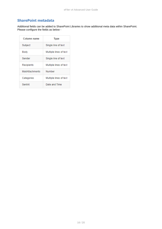## <span id="page-15-0"></span>**SharePoint metadata**

Additional fields can be added to SharePoint Libraries to show additional meta data within SharePoint. Please configure the fields as below -

| Column name     | <b>Type</b>            |
|-----------------|------------------------|
| Subject         | Single line of text    |
| Body            | Multiple lines of text |
| Sender          | Single line of text    |
| Recipients      | Multiple lines of text |
| MailAttachments | Number                 |
| Categories      | Multiple lines of text |
| SentAt          | Date and Time          |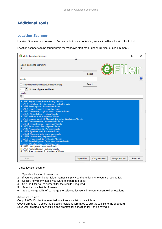# <span id="page-16-0"></span>**Additional tools**

## <span id="page-16-1"></span>**Location Scanner**

Location Scanner can be used to find and add folders containing emails to eFiler's location list in bulk.

Location scanner can be found within the Windows start menu under Irradiant eFiler sub menu.

| <b>B</b> eFiler Location Scanner                                                                                                                                                                                                                                                                                                                                                                                                                                                                                                                                                                                                                                                                                                                                                                                                                                                                                                                                                                                               | hł       |               |                 |          | × |
|--------------------------------------------------------------------------------------------------------------------------------------------------------------------------------------------------------------------------------------------------------------------------------------------------------------------------------------------------------------------------------------------------------------------------------------------------------------------------------------------------------------------------------------------------------------------------------------------------------------------------------------------------------------------------------------------------------------------------------------------------------------------------------------------------------------------------------------------------------------------------------------------------------------------------------------------------------------------------------------------------------------------------------|----------|---------------|-----------------|----------|---|
| Select location to search in:<br>R:                                                                                                                                                                                                                                                                                                                                                                                                                                                                                                                                                                                                                                                                                                                                                                                                                                                                                                                                                                                            |          |               | OFiler          |          |   |
| emails                                                                                                                                                                                                                                                                                                                                                                                                                                                                                                                                                                                                                                                                                                                                                                                                                                                                                                                                                                                                                         | Select   |               |                 |          |   |
| Search for filenames (default folder names)<br>4<br>Number of generated labels<br>Results:                                                                                                                                                                                                                                                                                                                                                                                                                                                                                                                                                                                                                                                                                                                                                                                                                                                                                                                                     | Search   |               |                 |          |   |
| R:\5467 Regent street, Poplar Borough\Emails<br>R:\2731 East street, Kennington road, Lambeth\Emails<br>R:\3799 James's place, Bermondsey\Emails<br>R:\2101 Church crescent, Lambeth\Emails<br>R:\2472 Cross street, Lingham street, Lambeth\Emails<br>R:\10247 Mitchell street, Finsbury\Emails<br>R:\7127 Holtham road, Hampstead\Emails<br>R:\7685 Spenser street, St. Margaret & St. John, Westminster\Emails<br>R:\2682 Dunraven street, Hammersmith\Emails<br>R:\10098 Lambolle place, Hampstead\Emails<br>R:\3802 Janes street, Bethnal green\Emails<br>R:\7248 Ampton street, St. Pancras\Emails<br>R:\11856 Tyneham road, Battersea\Emails<br>R:\10986 Montpelier vale, Lewisham\Emails<br>R:\12796 Lance street, Stepney\Emails<br>R:\5238 Princes street, City of London\Emails<br>R:\1563 Bloomfield place, City of Westminster\Emails<br>R:\6653 Waterloo place, Lewisham\Emails<br>R:\6333 Union place, Lewisham\Emails<br>R:\7761 Northwold road, Hackney\Emails<br>R:\7054 Abercom place St. Marylebone\Emails |          |               |                 |          |   |
| Stop                                                                                                                                                                                                                                                                                                                                                                                                                                                                                                                                                                                                                                                                                                                                                                                                                                                                                                                                                                                                                           | Copy RAW | Copy formated | Merge with .efl | Save efl |   |

#### To use location scanner -

- 1. Specify a location to search in
- 2. If you are searching for folder names simply type the folder name you are looking for.
- 3. Specify how many labels you want to import into eFiler
- 4. Use the filter box to further filter the results if required
- 5. Select all or a batch of results
- 6. Select 'Merge with .efl to merge the selected locations into your current eFiler locations

#### Additional features

Copy RAW - Copies the selected locations as a list to the clipboard

Copy Formatted - Copies the selected locations formatted to suit the .efl file to the clipboard Save .efl - creates a new .efl file and prompts for a location for it to be saved in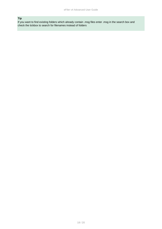## **Tip**

If you want to find existing folders which already contain .msg files enter .msg in the search box and check the tickbox to search for filenames instead of folders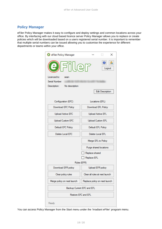## <span id="page-18-0"></span>**Policy Manager**

eFiler Policy Manager makes it easy to configure and deploy settings and common locations across your office. By interfacing with our cloud based licence server Policy Manager allows you to replace or create policies which will be downloaded based on a users registered serial number. It is important to remember that multiple serial numbers can be issued allowing you to customise the experience for different departments or teams within your office.

| <b>G</b> eFiler Policy Manager                       | ×                              |  |  |
|------------------------------------------------------|--------------------------------|--|--|
| <b>e)</b> Filler<br>Logout                           |                                |  |  |
| Licenced to:<br>sean                                 |                                |  |  |
| Serial Number:                                       |                                |  |  |
| Description: No description                          |                                |  |  |
|                                                      | <b>Edit Description</b>        |  |  |
| Configuration (EFC)                                  | Locations (EFL)                |  |  |
| Download EFC Policy                                  | Download EFL Policy            |  |  |
| <b>Upload Active EFL</b><br><b>Upload Active EFC</b> |                                |  |  |
| <b>Upload Custom EFC</b>                             | <b>Upload Custom EFL</b>       |  |  |
| Default EFC Policy                                   | Default EFL Policy             |  |  |
| Delete Local EFC<br>Delete Local EFL                 |                                |  |  |
| Merge EFL to Policy                                  |                                |  |  |
| Purge shared locations                               |                                |  |  |
| Replace shared                                       |                                |  |  |
|                                                      | Replace EFL                    |  |  |
| Rules (EFR)                                          |                                |  |  |
| Download EFR policy                                  | Upload EFR policy              |  |  |
| Clear policy rules                                   | Clear all rules at next launch |  |  |
| Merge policy on next launch                          | Replace policy on next launch  |  |  |
| Backup Current EFC and EFL                           |                                |  |  |
| Restore EFC and EFL                                  |                                |  |  |
| Ready                                                |                                |  |  |

You can access Policy Manager from the Start menu under the 'Irradiant eFiler' program menu.